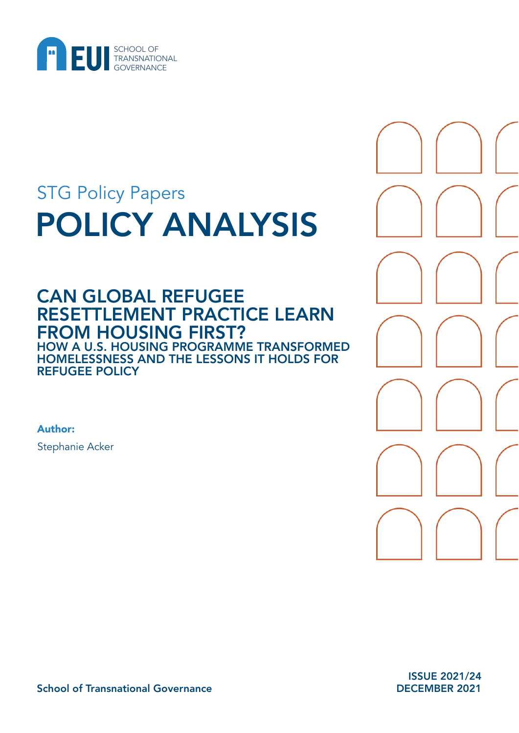

# POLICY ANALYSIS STG Policy Papers

## CAN GLOBAL REFUGEE RESETTLEMENT PRACTICE LEARN FROM HOUSING FIRST? HOW A U.S. HOUSING PROGRAMME TRANSFORMED HOMELESSNESS AND THE LESSONS IT HOLDS FOR REFUGEE POLICY

Author: Stephanie Acker

> ISSUE 2021/24 DECEMBER 2021

School of Transnational Governance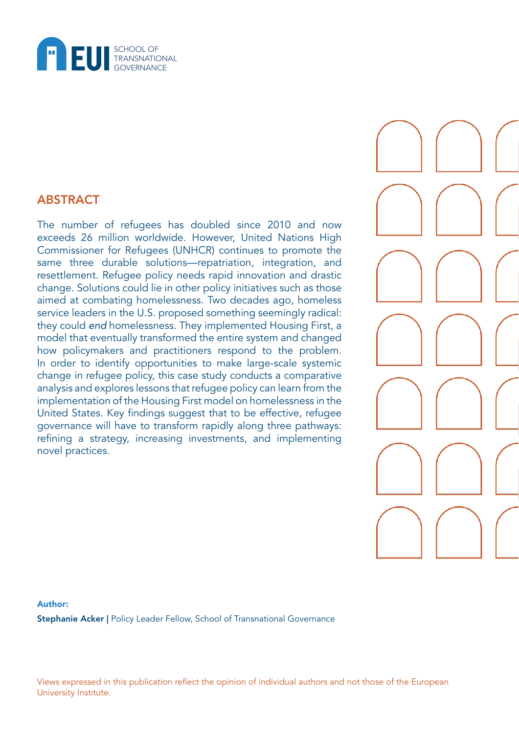

## ABSTRACT

The number of refugees has doubled since 2010 and now exceeds 26 million worldwide. However, United Nations High Commissioner for Refugees (UNHCR) continues to promote the same three durable solutions—repatriation, integration, and resettlement. Refugee policy needs rapid innovation and drastic change. Solutions could lie in other policy initiatives such as those aimed at combating homelessness. Two decades ago, homeless service leaders in the U.S. proposed something seemingly radical: they could *end* homelessness. They implemented Housing First, a model that eventually transformed the entire system and changed how policymakers and practitioners respond to the problem. In order to identify opportunities to make large-scale systemic change in refugee policy, this case study conducts a comparative analysis and explores lessons that refugee policy can learn from the implementation of the Housing First model on homelessness in the United States. Key findings suggest that to be effective, refugee governance will have to transform rapidly along three pathways: refining a strategy, increasing investments, and implementing novel practices.

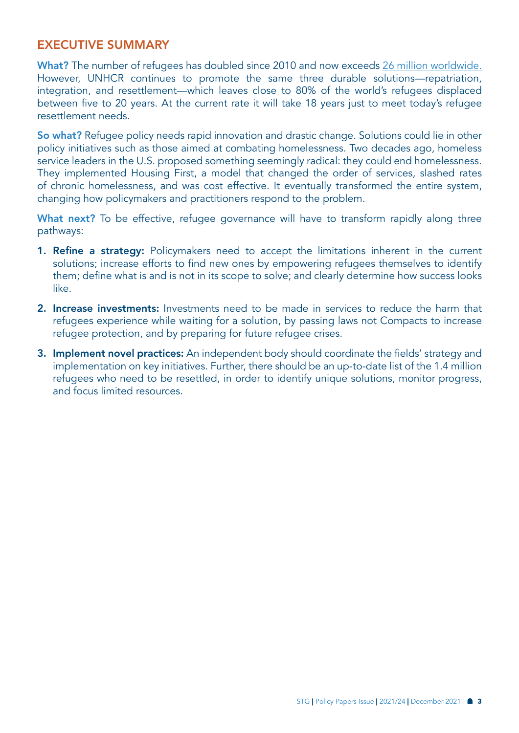## EXECUTIVE SUMMARY

What? The number of refugees has doubled since 2010 and now exceeds [26 million worldwide.](https://www.unhcr.org/refugee-statistics/) However, UNHCR continues to promote the same three durable solutions—repatriation, integration, and resettlement—which leaves close to 80% of the world's refugees displaced between five to 20 years. At the current rate it will take 18 years just to meet today's refugee resettlement needs.

So what? Refugee policy needs rapid innovation and drastic change. Solutions could lie in other policy initiatives such as those aimed at combating homelessness. Two decades ago, homeless service leaders in the U.S. proposed something seemingly radical: they could end homelessness. They implemented Housing First, a model that changed the order of services, slashed rates of chronic homelessness, and was cost effective. It eventually transformed the entire system, changing how policymakers and practitioners respond to the problem.

What next? To be effective, refugee governance will have to transform rapidly along three pathways:

- 1. Refine a strategy: Policymakers need to accept the limitations inherent in the current solutions; increase efforts to find new ones by empowering refugees themselves to identify them; define what is and is not in its scope to solve; and clearly determine how success looks like.
- 2. Increase investments: Investments need to be made in services to reduce the harm that refugees experience while waiting for a solution, by passing laws not Compacts to increase refugee protection, and by preparing for future refugee crises.
- 3. Implement novel practices: An independent body should coordinate the fields' strategy and implementation on key initiatives. Further, there should be an up-to-date list of the 1.4 million refugees who need to be resettled, in order to identify unique solutions, monitor progress, and focus limited resources.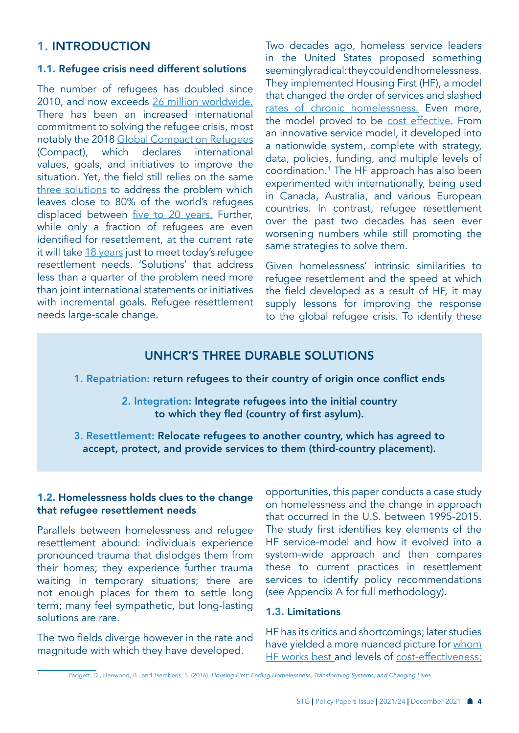## 1. INTRODUCTION

#### 1.1. Refugee crisis need different solutions

The number of refugees has doubled since 2010, and now exceeds [26 million worldwide.](https://www.unhcr.org/refugee-statistics/)  There has been an increased international commitment to solving the refugee crisis, most notably the 2018 [Global Compact on Refugees](https://www.unhcr.org/5c658aed4)  (Compact), which declares international values, goals, and initiatives to improve the situation. Yet, the field still relies on the same [three solutions](https://www.unhcr.org/solutions.html) to address the problem which leaves close to 80% of the world's refugees displaced between [five to 20 years.](https://www.unrefugees.org/news/protracted-refugee-situations-explained/) Further, while only a fraction of refugees are even identified for resettlement, at the current rate it will take [18 years](https://www.unhcr.org/en-us/5b28c7c04) just to meet today's refugee resettlement needs. 'Solutions' that address less than a quarter of the problem need more than joint international statements or initiatives with incremental goals. Refugee resettlement needs large-scale change.

Two decades ago, homeless service leaders in the United States proposed something seemingly radical: they could end homelessness. They implemented Housing First (HF), a model that changed the order of services and slashed [rates of chronic homelessness.](https://endhomelessness.org/homelessness-in-america/homelessness-statistics/state-of-homelessness-2021/) Even more, the model proved to be [cost effective.](https://doi.org/10.1177/070674371506001102) From an innovative service model, it developed into a nationwide system, complete with strategy, data, policies, funding, and multiple levels of coordination.1 The HF approach has also been experimented with internationally, being used in Canada, Australia, and various European countries. In contrast, refugee resettlement over the past two decades has seen ever worsening numbers while still promoting the same strategies to solve them.

Given homelessness' intrinsic similarities to refugee resettlement and the speed at which the field developed as a result of HF, it may supply lessons for improving the response to the global refugee crisis. To identify these

### UNHCR'S THREE DURABLE SOLUTIONS

#### 1. Repatriation: return refugees to their country of origin once conflict ends

2. Integration: Integrate refugees into the initial country to which they fled (country of first asylum).

3. Resettlement: Relocate refugees to another country, which has agreed to accept, protect, and provide services to them (third-country placement).

#### 1.2. Homelessness holds clues to the change that refugee resettlement needs

Parallels between homelessness and refugee resettlement abound: individuals experience pronounced trauma that dislodges them from their homes; they experience further trauma waiting in temporary situations; there are not enough places for them to settle long term; many feel sympathetic, but long-lasting solutions are rare.

The two fields diverge however in the rate and magnitude with which they have developed.

opportunities, this paper conducts a case study on homelessness and the change in approach that occurred in the U.S. between 1995-2015. The study first identifies key elements of the HF service-model and how it evolved into a system-wide approach and then compares these to current practices in resettlement services to identify policy recommendations (see Appendix A for full methodology).

#### 1.3. Limitations

HF has its critics and shortcomings; later studies have yielded a more nuanced picture for whom [HF works best a](https://media4.manhattan-institute.org/sites/default/files/housing-first-and-homelessness-SE.pdf)nd levels of [cost-effectiveness;](https://doi.org/10.1177/070674371506001103) 

1 Padgett, D., Henwood, B., and Tsemberis, S. (2016). *Housing First: Ending Homelessness, Transforming Systems, and Changing Lives.*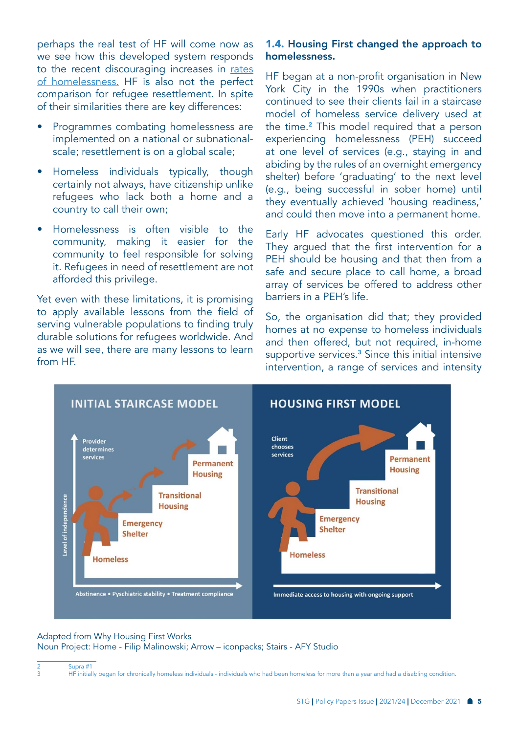perhaps the real test of HF will come now as we see how this developed system responds to the recent discouraging increases in [rates](https://endhomelessness.org/wp-content/uploads/2021/07/NAEH_StateOfHomelessness2021-VizPrintable.pdf)  [of homelessness.](https://endhomelessness.org/wp-content/uploads/2021/07/NAEH_StateOfHomelessness2021-VizPrintable.pdf) HF is also not the perfect comparison for refugee resettlement. In spite of their similarities there are key differences:

- Programmes combating homelessness are implemented on a national or subnationalscale; resettlement is on a global scale;
- Homeless individuals typically, though certainly not always, have citizenship unlike refugees who lack both a home and a country to call their own;
- Homelessness is often visible to the community, making it easier for the community to feel responsible for solving it. Refugees in need of resettlement are not afforded this privilege.

Yet even with these limitations, it is promising to apply available lessons from the field of serving vulnerable populations to finding truly durable solutions for refugees worldwide. And as we will see, there are many lessons to learn from HF.

#### 1.4. Housing First changed the approach to homelessness.

HF began at a non-profit organisation in New York City in the 1990s when practitioners continued to see their clients fail in a staircase model of homeless service delivery used at the time.<sup>2</sup> This model required that a person experiencing homelessness (PEH) succeed at one level of services (e.g., staying in and abiding by the rules of an overnight emergency shelter) before 'graduating' to the next level (e.g., being successful in sober home) until they eventually achieved 'housing readiness,' and could then move into a permanent home.

Early HF advocates questioned this order. They argued that the first intervention for a PEH should be housing and that then from a safe and secure place to call home, a broad array of services be offered to address other barriers in a PEH's life.

So, the organisation did that; they provided homes at no expense to homeless individuals and then offered, but not required, in-home supportive services.<sup>3</sup> Since this initial intensive intervention, a range of services and intensity



#### Adapted from Why Housing First Works Noun Project: Home - Filip Malinowski; Arrow – iconpacks; Stairs - AFY Studio

<sup>2</sup> Supra #1<br>3 HE initial 3 HF initially began for chronically homeless individuals - individuals who had been homeless for more than a year and had a disabling condition.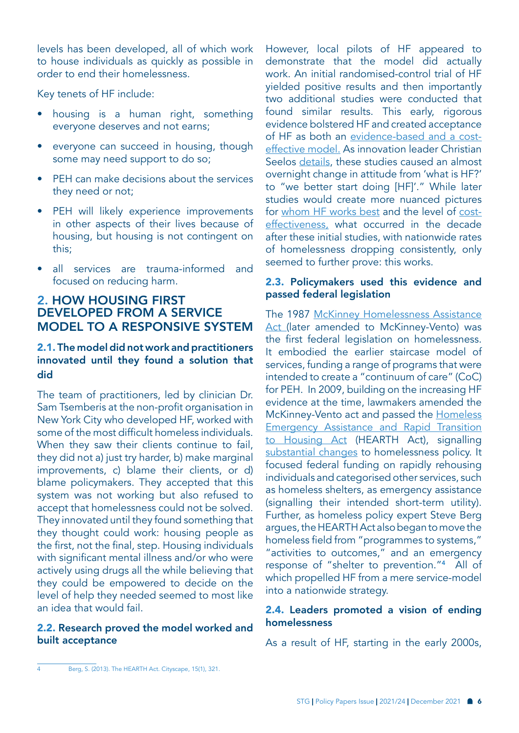levels has been developed, all of which work to house individuals as quickly as possible in order to end their homelessness.

Key tenets of HF include:

- housing is a human right, something everyone deserves and not earns;
- everyone can succeed in housing, though some may need support to do so;
- PEH can make decisions about the services they need or not;
- PEH will likely experience improvements in other aspects of their lives because of housing, but housing is not contingent on this;
- all services are trauma-informed and focused on reducing harm.

## 2. HOW HOUSING FIRST DEVELOPED FROM A SERVICE MODEL TO A RESPONSIVE SYSTEM

#### 2.1. The model did not work and practitioners innovated until they found a solution that did

The team of practitioners, led by clinician Dr. Sam Tsemberis at the non-profit organisation in New York City who developed HF, worked with some of the most difficult homeless individuals. When they saw their clients continue to fail, they did not a) just try harder, b) make marginal improvements, c) blame their clients, or d) blame policymakers. They accepted that this system was not working but also refused to accept that homelessness could not be solved. They innovated until they found something that they thought could work: housing people as the first, not the final, step. Housing individuals with significant mental illness and/or who were actively using drugs all the while believing that they could be empowered to decide on the level of help they needed seemed to most like an idea that would fail.

#### 2.2. Research proved the model worked and built acceptance

However, local pilots of HF appeared to demonstrate that the model did actually work. An initial randomised-control trial of HF yielded positive results and then importantly two additional studies were conducted that found similar results. This early, rigorous evidence bolstered HF and created acceptance of HF as both an [evidence-based and a cost](https://doi.org/10.1177/070674371506001102)[effective model.](https://doi.org/10.1177/070674371506001102) As innovation leader Christian Seelos [details](https://pacscenter.stanford.edu/wp-content/uploads/2021/04/Homelessness_A-System-Perspective_Seelos_GIIL_002_2021.pdf), these studies caused an almost overnight change in attitude from 'what is HF?' to "we better start doing [HF]'." While later studies would create more nuanced pictures for [whom HF works best](https://media4.manhattan-institute.org/sites/default/files/housing-first-and-homelessness-SE.pdf) and the level of [cost](https://doi.org/10.1177/070674371506001103)[effectiveness,](https://doi.org/10.1177/070674371506001103) what occurred in the decade after these initial studies, with nationwide rates of homelessness dropping consistently, only seemed to further prove: this works.

#### 2.3. Policymakers used this evidence and passed federal legislation

The 1987 McKinney Homelessness Assistance [Act \(](https://www.congress.gov/100/statute/STATUTE-101/STATUTE-101-Pg482.pdf)later amended to McKinney-Vento) was the first federal legislation on homelessness. It embodied the earlier staircase model of services, funding a range of programs that were intended to create a "continuum of care" (CoC) for PEH. In 2009, building on the increasing HF evidence at the time, lawmakers amended the McKinney-Vento act and passed the [Homeless](https://www.hud.gov/sites/documents/HAAA_HEARTH.PDF)  [Emergency Assistance and Rapid Transition](https://www.hud.gov/sites/documents/HAAA_HEARTH.PDF)  [to Housing Act](https://www.hud.gov/sites/documents/HAAA_HEARTH.PDF) (HEARTH Act), signalling [substantial changes](https://www.hudexchange.info/resource/1717/s-896-hearth-act/) to homelessness policy. It focused federal funding on rapidly rehousing individuals and categorised other services, such as homeless shelters, as emergency assistance (signalling their intended short-term utility). Further, as homeless policy expert Steve Berg argues, the HEARTH Act also began to move the homeless field from "programmes to systems," "activities to outcomes," and an emergency response of "shelter to prevention."4 All of which propelled HF from a mere service-model into a nationwide strategy.

#### 2.4. Leaders promoted a vision of ending homelessness

As a result of HF, starting in the early 2000s,

<sup>4</sup> Berg, S. (2013). The HEARTH Act. Cityscape, 15(1), 321.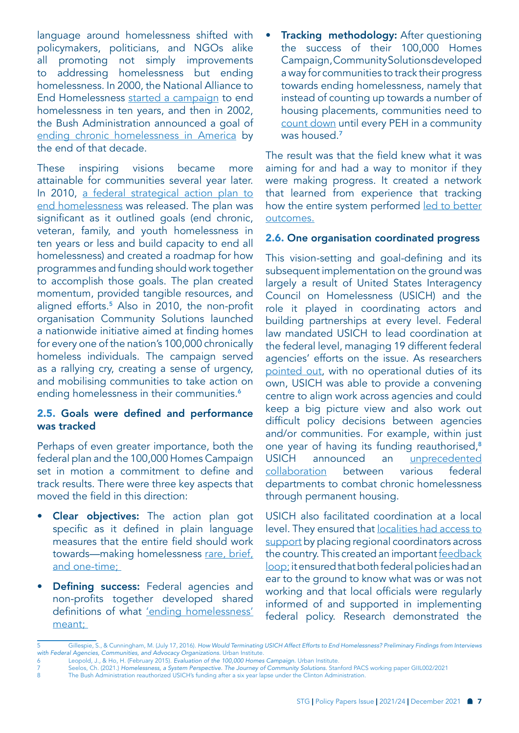language around homelessness shifted with policymakers, politicians, and NGOs alike all promoting not simply improvements to addressing homelessness but ending homelessness. In 2000, the National Alliance to End Homelessness [started a campaign](https://b.3cdn.net/naeh/b970364c18809d1e0c_aum6bnzb4.pdf) to end homelessness in ten years, and then in 2002, the Bush Administration announced a goal of [ending chronic homelessness in America](https://archives.hud.gov/news/2002/pr02-080.cfm) by the end of that decade.

These inspiring visions became more attainable for communities several year later. In 2010, a federal strategical action plan to [end homelessness](https://www.usich.gov/resources/uploads/asset_library/USICH_OpeningDoors_Amendment2015_FINAL.pdf) was released. The plan was significant as it outlined goals (end chronic, veteran, family, and youth homelessness in ten years or less and build capacity to end all homelessness) and created a roadmap for how programmes and funding should work together to accomplish those goals. The plan created momentum, provided tangible resources, and aligned efforts.<sup>5</sup> Also in 2010, the non-profit organisation Community Solutions launched a nationwide initiative aimed at finding homes for every one of the nation's 100,000 chronically homeless individuals. The campaign served as a rallying cry, creating a sense of urgency, and mobilising communities to take action on ending homelessness in their communities.<sup>6</sup>

#### 2.5. Goals were defined and performance was tracked

Perhaps of even greater importance, both the federal plan and the 100,000 Homes Campaign set in motion a commitment to define and track results. There were three key aspects that moved the field in this direction:

- Clear objectives: The action plan got specific as it defined in plain language measures that the entire field should work towards—making homelessness [rare, brief,](https://www.usich.gov/goals)  [and one-time;](https://www.usich.gov/goals)
- **Defining success:** Federal agencies and non-profits together developed shared definitions of what ['ending homelessness'](https://www.usich.gov/goals/what-does-ending-homelessness-mean)  [meant;](https://www.usich.gov/goals/what-does-ending-homelessness-mean)

**Tracking methodology:** After questioning the success of their 100,000 Homes Campaign, Community Solutions developed a way for communities to track their progress towards ending homelessness, namely that instead of counting up towards a number of housing placements, communities need to [count down](https://www.joinbuiltforzero.org/) until every PEH in a community was housed.<sup>7</sup>

The result was that the field knew what it was aiming for and had a way to monitor if they were making progress. It created a network that learned from experience that tracking how the entire system performed led to better [outcomes.](https://www.usich.gov/news/reducing-homelessness-in-real-time-a-measure-that-matters/)

#### 2.6. One organisation coordinated progress

This vision-setting and goal-defining and its subsequent implementation on the ground was largely a result of United States Interagency Council on Homelessness (USICH) and the role it played in coordinating actors and building partnerships at every level. Federal law mandated USICH to lead coordination at the federal level, managing 19 different federal agencies' efforts on the issue. As researchers [pointed out](https://www.urban.org/research/publication/how-would-terminating-usich-affect-efforts-end-homelessness-preliminary-findings-interviews-federal-agencies-communities-and-advocacy-organizations), with no operational duties of its own, USICH was able to provide a convening centre to align work across agencies and could keep a big picture view and also work out difficult policy decisions between agencies and/or communities. For example, within just one year of having its funding reauthorised,<sup>8</sup> USICH announced an [unprecedented](https://archives.hud.gov/news/2003/pr03-010.cfm)  [collaboration](https://archives.hud.gov/news/2003/pr03-010.cfm) between various federal departments to combat chronic homelessness through permanent housing.

USICH also facilitated coordination at a local level. They ensured that [localities had access to](https://www.usich.gov/resources/uploads/asset_library/RPT_USICH_History_final__2012.pdf)  [support](https://www.usich.gov/resources/uploads/asset_library/RPT_USICH_History_final__2012.pdf) by placing regional coordinators across the country. This created an important feedback [loop;](https://www.urban.org/research/publication/how-would-terminating-usich-affect-efforts-end-homelessness-preliminary-findings-interviews-federal-agencies-communities-and-advocacy-organizations) it ensured that both federal policies had an ear to the ground to know what was or was not working and that local officials were regularly informed of and supported in implementing federal policy. Research demonstrated the

- 6 Leopold, J., & Ho, H. (February 2015). *Evaluation of the 100,000 Homes Campaign.* Urban Institute.
- 7 Seelos, Ch. (2021.) *Homelessness, a System Perspective. The Journey of Community Solutions.* Stanford PACS working paper GIIL002/2021
- 8 The Bush Administration reauthorized USICH's funding after a six year lapse under the Clinton Administration.

<sup>5</sup> Gillespie, S., & Cunningham, M. (July 17, 2016). *How Would Terminating USICH Affect Efforts to End Homelessness? Preliminary Findings from Interviews with Federal Agencies, Communities, and Advocacy Organizations.* Urban Institute.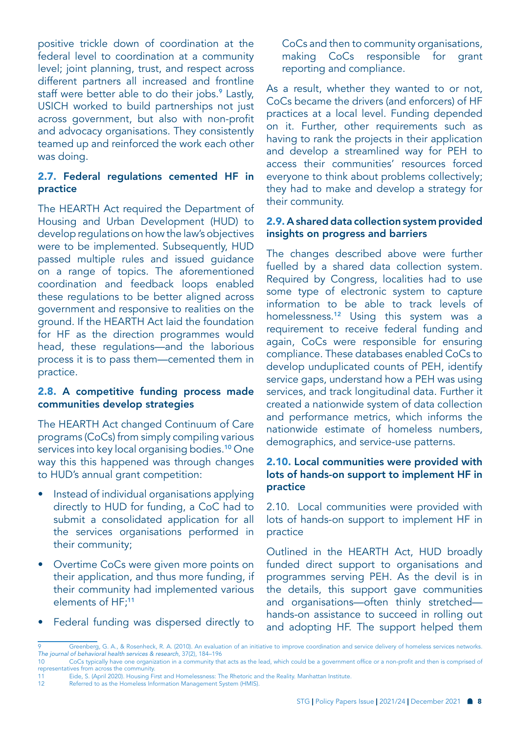positive trickle down of coordination at the federal level to coordination at a community level; joint planning, trust, and respect across different partners all increased and frontline staff were better able to do their jobs.<sup>9</sup> Lastly, USICH worked to build partnerships not just across government, but also with non-profit and advocacy organisations. They consistently teamed up and reinforced the work each other was doing.

#### 2.7. Federal regulations cemented HF in practice

The HEARTH Act required the Department of Housing and Urban Development (HUD) to develop regulations on how the law's objectives were to be implemented. Subsequently, HUD passed multiple rules and issued guidance on a range of topics. The aforementioned coordination and feedback loops enabled these regulations to be better aligned across government and responsive to realities on the ground. If the HEARTH Act laid the foundation for HF as the direction programmes would head, these regulations—and the laborious process it is to pass them—cemented them in practice.

#### 2.8. A competitive funding process made communities develop strategies

The HEARTH Act changed Continuum of Care programs (CoCs) from simply compiling various services into key local organising bodies.<sup>10</sup> One way this this happened was through changes to HUD's annual grant competition:

- Instead of individual organisations applying directly to HUD for funding, a CoC had to submit a consolidated application for all the services organisations performed in their community;
- Overtime CoCs were given more points on their application, and thus more funding, if their community had implemented various elements of HF;<sup>11</sup>
- Federal funding was dispersed directly to

CoCs and then to community organisations, making CoCs responsible for grant reporting and compliance.

As a result, whether they wanted to or not, CoCs became the drivers (and enforcers) of HF practices at a local level. Funding depended on it. Further, other requirements such as having to rank the projects in their application and develop a streamlined way for PEH to access their communities' resources forced everyone to think about problems collectively; they had to make and develop a strategy for their community.

#### 2.9. A shared data collection system provided insights on progress and barriers

The changes described above were further fuelled by a shared data collection system. Required by Congress, localities had to use some type of electronic system to capture information to be able to track levels of homelessness.12 Using this system was a requirement to receive federal funding and again, CoCs were responsible for ensuring compliance. These databases enabled CoCs to develop unduplicated counts of PEH, identify service gaps, understand how a PEH was using services, and track longitudinal data. Further it created a nationwide system of data collection and performance metrics, which informs the nationwide estimate of homeless numbers, demographics, and service-use patterns.

#### 2.10. Local communities were provided with lots of hands-on support to implement HF in practice

2.10. Local communities were provided with lots of hands-on support to implement HF in practice

Outlined in the HEARTH Act, HUD broadly funded direct support to organisations and programmes serving PEH. As the devil is in the details, this support gave communities and organisations—often thinly stretched hands-on assistance to succeed in rolling out and adopting HF. The support helped them

<sup>9</sup> Greenberg, G. A., & Rosenheck, R. A. (2010). An evaluation of an initiative to improve coordination and service delivery of homeless services networks. *The journal of behavioral health services & research*, 37(2), 184–196

CoCs typically have one organization in a community that acts as the lead, which could be a government office or a non-profit and then is comprised of representatives from across the community.<br>11 Eide, S. (April 2020). Housing Fi

<sup>11</sup> Eide, S. (April 2020). Housing First and Homelessness: The Rhetoric and the Reality. Manhattan Institute.<br>12 Referred to as the Homeless Information Management System (HMIS).

Referred to as the Homeless Information Management System (HMIS).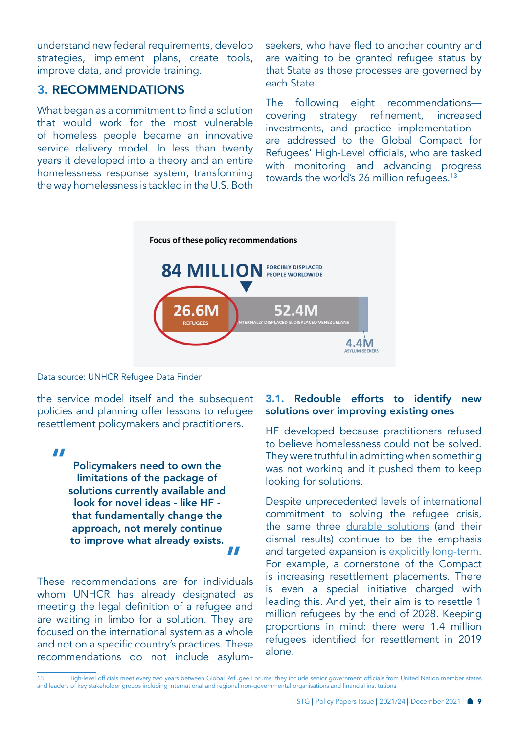understand new federal requirements, develop strategies, implement plans, create tools, improve data, and provide training.

#### 3. RECOMMENDATIONS

What began as a commitment to find a solution that would work for the most vulnerable of homeless people became an innovative service delivery model. In less than twenty years it developed into a theory and an entire homelessness response system, transforming the way homelessness is tackled in the U.S. Both

seekers, who have fled to another country and are waiting to be granted refugee status by that State as those processes are governed by each State.

The following eight recommendations covering strategy refinement, increased investments, and practice implementation are addressed to the Global Compact for Refugees' High-Level officials, who are tasked with monitoring and advancing progress towards the world's 26 million refugees.<sup>13</sup>



Data source: UNHCR Refugee Data Finder

the service model itself and the subsequent policies and planning offer lessons to refugee resettlement policymakers and practitioners.

"

Policymakers need to own the limitations of the package of solutions currently available and look for novel ideas - like HF that fundamentally change the approach, not merely continue to improve what already exists. "

These recommendations are for individuals whom UNHCR has already designated as meeting the legal definition of a refugee and are waiting in limbo for a solution. They are focused on the international system as a whole and not on a specific country's practices. These recommendations do not include asylum-

#### 3.1. Redouble efforts to identify new solutions over improving existing ones

HF developed because practitioners refused to believe homelessness could not be solved. They were truthful in admitting when something was not working and it pushed them to keep looking for solutions.

Despite unprecedented levels of international commitment to solving the refugee crisis, the same three [durable solutions](https://www.unhcr.org/solutions.html) (and their dismal results) continue to be the emphasis and targeted expansion is [explicitly long-term](https://www.unhcr.org/protection/resettlement/5d15db254/three-year-strategy-resettlement-complementary-pathways.html). For example, a cornerstone of the Compact is increasing resettlement placements. There is even a special initiative charged with leading this. And yet, their aim is to resettle 1 million refugees by the end of 2028. Keeping proportions in mind: there were 1.4 million refugees identified for resettlement in 2019 alone.

<sup>13</sup> High-level officials meet every two years between Global Refugee Forums; they include senior government officials from United Nation member states and leaders of key stakeholder groups including international and regional non-governmental organisations and financial institutions.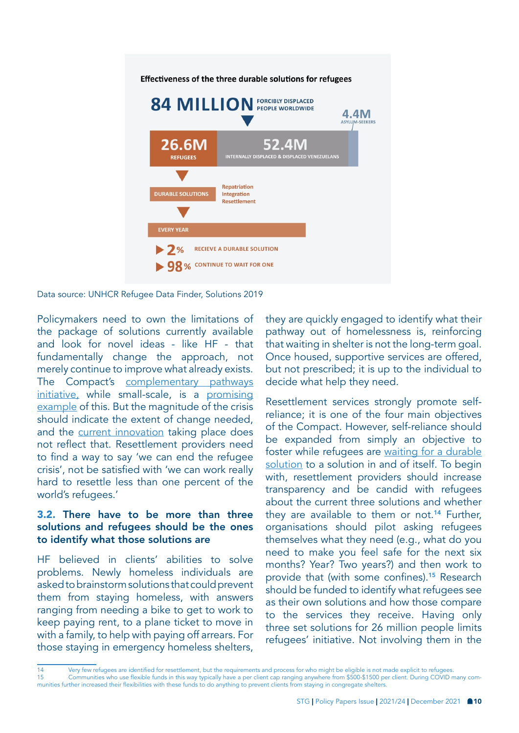

Data source: UNHCR Refugee Data Finder, Solutions 2019

Policymakers need to own the limitations of the package of solutions currently available and look for novel ideas - like HF - that fundamentally change the approach, not merely continue to improve what already exists. The Compact's [complementary pathways](https://resettle.org/complementary-pathways)  [initiative,](https://resettle.org/complementary-pathways) while small-scale, is a promising [example](https://www.migrationpolicy.org/sites/default/files/publications/mpie-unhcr_global-mapping-refugee-pathways-final.pdf) of this. But the magnitude of the crisis should indicate the extent of change needed, and the [current innovation](https://www.unhcr.org/innovation/wp-content/uploads/2019/07/Innovation-at-UNHCR-2019-Web.pdf) taking place does not reflect that. Resettlement providers need to find a way to say 'we can end the refugee crisis', not be satisfied with 'we can work really hard to resettle less than one percent of the world's refugees.'

#### 3.2. There have to be more than three solutions and refugees should be the ones to identify what those solutions are

HF believed in clients' abilities to solve problems. Newly homeless individuals are asked to brainstorm solutions that could prevent them from staying homeless, with answers ranging from needing a bike to get to work to keep paying rent, to a plane ticket to move in with a family, to help with paying off arrears. For those staying in emergency homeless shelters,

they are quickly engaged to identify what their pathway out of homelessness is, reinforcing that waiting in shelter is not the long-term goal. Once housed, supportive services are offered, but not prescribed; it is up to the individual to decide what help they need.

Resettlement services strongly promote selfreliance; it is one of the four main objectives of the Compact. However, self-reliance should be expanded from simply an objective to foster while refugees are [waiting for a durable](https://www.unhcr.org/50a4c17f9.pdf)  [solution](https://www.unhcr.org/50a4c17f9.pdf) to a solution in and of itself. To begin with, resettlement providers should increase transparency and be candid with refugees about the current three solutions and whether they are available to them or not.<sup>14</sup> Further, organisations should pilot asking refugees themselves what they need (e.g., what do you need to make you feel safe for the next six months? Year? Two years?) and then work to provide that (with some confines).15 Research should be funded to identify what refugees see as their own solutions and how those compare to the services they receive. Having only three set solutions for 26 million people limits refugees' initiative. Not involving them in the

<sup>14</sup> Very few refugees are identified for resettlement, but the requirements and process for who might be eligible is not made explicit to refugees.<br>15 Communities who use flexible funds in this way typically have a per clie 15 Communities who use flexible funds in this way typically have a per client cap ranging anywhere from \$500-\$1500 per client. During COVID many communities further increased their flexibilities with these funds to do anything to prevent clients from staying in congregate shelters.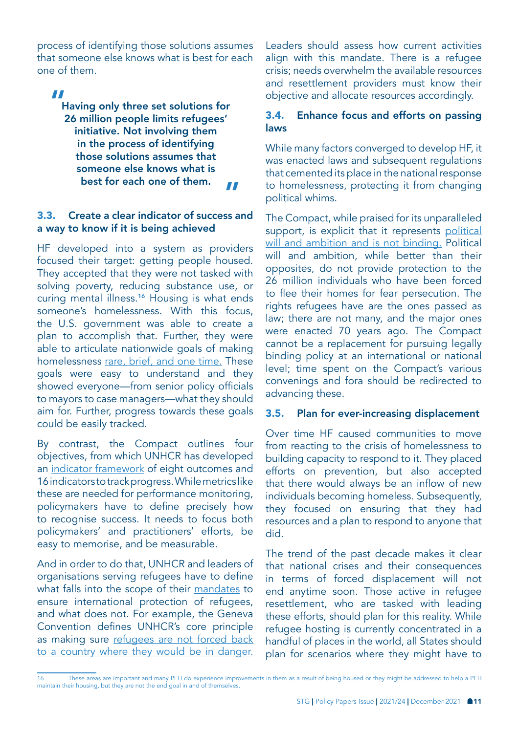process of identifying those solutions assumes that someone else knows what is best for each one of them.

#### "

Having only three set solutions for 26 million people limits refugees' initiative. Not involving them in the process of identifying those solutions assumes that someone else knows what is best for each one of them. "

#### 3.3. Create a clear indicator of success and a way to know if it is being achieved

HF developed into a system as providers focused their target: getting people housed. They accepted that they were not tasked with solving poverty, reducing substance use, or curing mental illness.16 Housing is what ends someone's homelessness. With this focus, the U.S. government was able to create a plan to accomplish that. Further, they were able to articulate nationwide goals of making homelessness [rare, brief, and one time.](https://www.usich.gov/goals/) These goals were easy to understand and they showed everyone—from senior policy officials to mayors to case managers—what they should aim for. Further, progress towards these goals could be easily tracked.

By contrast, the Compact outlines four objectives, from which UNHCR has developed an [indicator framework](https://www.unhcr.org/5cf907854.pdf) of eight outcomes and 16 indicators to track progress. While metrics like these are needed for performance monitoring, policymakers have to define precisely how to recognise success. It needs to focus both policymakers' and practitioners' efforts, be easy to memorise, and be measurable.

And in order to do that, UNHCR and leaders of organisations serving refugees have to define what falls into the scope of their [mandates](https://www.unhcr.org/legal-protection.html) to ensure international protection of refugees, and what does not. For example, the Geneva Convention defines UNHCR's core principle as making sure refugees are not forced back to a country where they would be in danger.

Leaders should assess how current activities align with this mandate. There is a refugee crisis; needs overwhelm the available resources and resettlement providers must know their objective and allocate resources accordingly.

#### 3.4. Enhance focus and efforts on passing laws

While many factors converged to develop HF, it was enacted laws and subsequent regulations that cemented its place in the national response to homelessness, protecting it from changing political whims.

The Compact, while praised for its unparalleled support, is explicit that it represents political [will and ambition and is not binding.](https://www.unhcr.org/5c658aed4) Political will and ambition, while better than their opposites, do not provide protection to the 26 million individuals who have been forced to flee their homes for fear persecution. The rights refugees have are the ones passed as law; there are not many, and the major ones were enacted 70 years ago. The Compact cannot be a replacement for pursuing legally binding policy at an international or national level; time spent on the Compact's various convenings and fora should be redirected to advancing these.

#### 3.5. Plan for ever-increasing displacement

Over time HF caused communities to move from reacting to the crisis of homelessness to building capacity to respond to it. They placed efforts on prevention, but also accepted that there would always be an inflow of new individuals becoming homeless. Subsequently, they focused on ensuring that they had resources and a plan to respond to anyone that did.

The trend of the past decade makes it clear that national crises and their consequences in terms of forced displacement will not end anytime soon. Those active in refugee resettlement, who are tasked with leading these efforts, should plan for this reality. While refugee hosting is currently concentrated in a handful of places in the world, all States should plan for scenarios where they might have to

<sup>16</sup> These areas are important and many PEH do experience improvements in them as a result of being housed or they might be addressed to help a PEH maintain their housing, but they are not the end goal in and of themselves.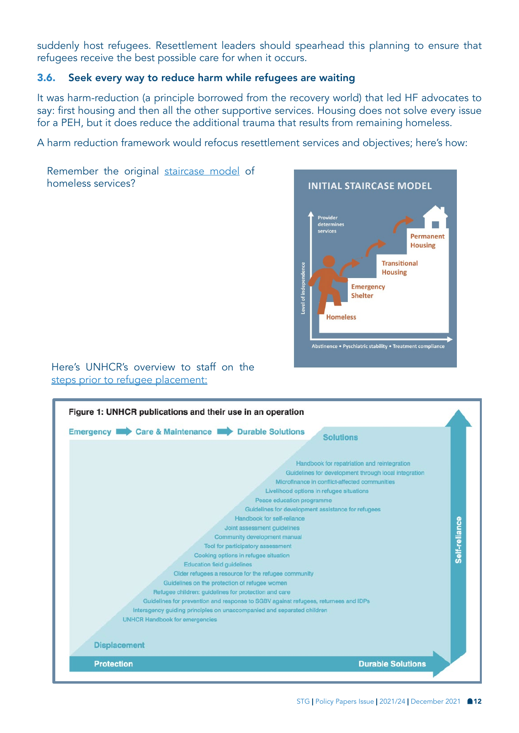suddenly host refugees. Resettlement leaders should spearhead this planning to ensure that refugees receive the best possible care for when it occurs.

#### 3.6. Seek every way to reduce harm while refugees are waiting

It was harm-reduction (a principle borrowed from the recovery world) that led HF advocates to say: first housing and then all the other supportive services. Housing does not solve every issue for a PEH, but it does reduce the additional trauma that results from remaining homeless.

A harm reduction framework would refocus resettlement services and objectives; here's how:

Remember the original [staircase model](https://slideplayer.com/slide/12643741/) of homeless services?



#### Here's UNHCR's overview to staff on the [steps prior to refugee placement:](https://www.unhcr.org/44bf7b012.pdf)

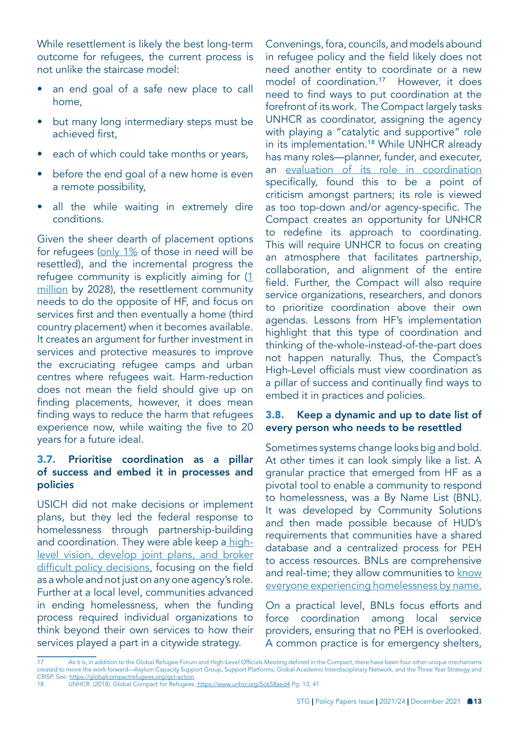While resettlement is likely the best long-term outcome for refugees, the current process is not unlike the staircase model:

- an end goal of a safe new place to call home,
- but many long intermediary steps must be achieved first,
- each of which could take months or years,
- before the end goal of a new home is even a remote possibility,
- all the while waiting in extremely dire conditions.

Given the sheer dearth of placement options for refugees ([only 1%](https://www.unhcr.org/resettlement.html) of those in need will be resettled), and the incremental progress the refugee community is explicitly aiming for ([1](https://www.unhcr.org/protection/resettlement/5d15db254/three-year-strategy-resettlement-complementary-pathways.html)  [million](https://www.unhcr.org/protection/resettlement/5d15db254/three-year-strategy-resettlement-complementary-pathways.html) by 2028), the resettlement community needs to do the opposite of HF, and focus on services first and then eventually a home (third country placement) when it becomes available. It creates an argument for further investment in services and protective measures to improve the excruciating refugee camps and urban centres where refugees wait. Harm-reduction does not mean the field should give up on finding placements, however, it does mean finding ways to reduce the harm that refugees experience now, while waiting the five to 20 years for a future ideal.

#### 3.7. Prioritise coordination as a pillar of success and embed it in processes and policies

USICH did not make decisions or implement plans, but they led the federal response to homelessness through partnership-building and coordination. They were able keep a [high](https://www.urban.org/research/publication/how-would-terminating-usich-affect-efforts-end-homelessness-preliminary-findings-interviews-federal-agencies-communities-and-advocacy-organizations)[level vision, develop joint plans, and broker](https://www.urban.org/research/publication/how-would-terminating-usich-affect-efforts-end-homelessness-preliminary-findings-interviews-federal-agencies-communities-and-advocacy-organizations)  [difficult policy decisions,](https://www.urban.org/research/publication/how-would-terminating-usich-affect-efforts-end-homelessness-preliminary-findings-interviews-federal-agencies-communities-and-advocacy-organizations) focusing on the field as a whole and not just on any one agency's role. Further at a local level, communities advanced in ending homelessness, when the funding process required individual organizations to think beyond their own services to how their services played a part in a citywide strategy.

Convenings, fora, councils, and models abound in refugee policy and the field likely does not need another entity to coordinate or a new model of coordination.<sup>17</sup> However, it does need to find ways to put coordination at the forefront of its work. The Compact largely tasks UNHCR as coordinator, assigning the agency with playing a "catalytic and supportive" role in its implementation.<sup>18</sup> While UNHCR already has many roles—planner, funder, and executer, an evaluation of its role in coordination specifically, found this to be a point of criticism amongst partners; its role is viewed as too top-down and/or agency-specific. The Compact creates an opportunity for UNHCR to redefine its approach to coordinating. This will require UNHCR to focus on creating an atmosphere that facilitates partnership, collaboration, and alignment of the entire field. Further, the Compact will also require service organizations, researchers, and donors to prioritize coordination above their own agendas. Lessons from HF's implementation highlight that this type of coordination and thinking of the-whole-instead-of-the-part does not happen naturally. Thus, the Compact's High-Level officials must view coordination as a pillar of success and continually find ways to embed it in practices and policies.

#### 3.8. Keep a dynamic and up to date list of every person who needs to be resettled

Sometimes systems change looks big and bold. At other times it can look simply like a list. A granular practice that emerged from HF as a pivotal tool to enable a community to respond to homelessness, was a By Name List (BNL). It was developed by Community Solutions and then made possible because of HUD's requirements that communities have a shared database and a centralized process for PEH to access resources. BNLs are comprehensive and real-time; they allow communities to know [everyone experiencing homelessness by name.](https://www.joinbuiltforzero.org/what-is-a-by-name-list/)

On a practical level, BNLs focus efforts and force coordination among local service providers, ensuring that no PEH is overlooked. A common practice is for emergency shelters,

<sup>17</sup> As it is, in addition to the Global Refugee Forum and High-Level Officials Meeting defined in the Compact, there have been four other unique mechanisms created to move the work forward—Asylum Capacity Support Group, Support Platforms, Global Academic Interdisciplinary Network, and the Three Year Strategy and CRISP. See: <https://globalcompactrefugees.org/gcr-action>

<sup>18</sup> UNHCR. (2018). Global Compact for Refugees. [https://www.unhcr.org/5c658aed4]( https://www.unhcr.org/5c658aed4) Pg. 13, 41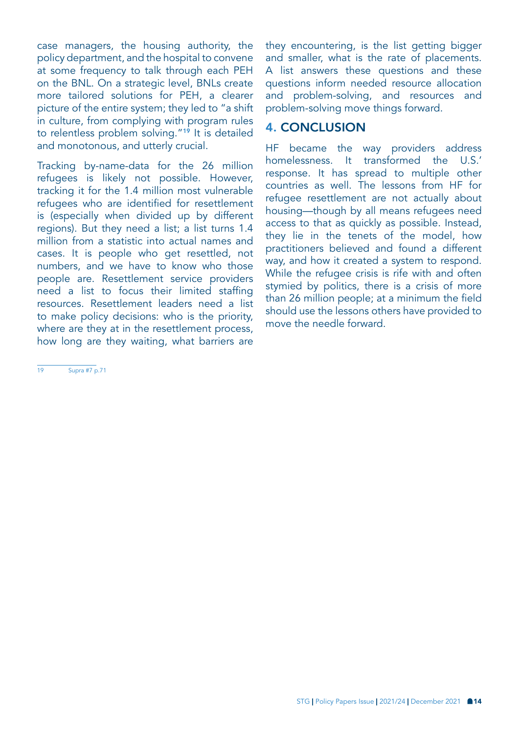case managers, the housing authority, the policy department, and the hospital to convene at some frequency to talk through each PEH on the BNL. On a strategic level, BNLs create more tailored solutions for PEH, a clearer picture of the entire system; they led to "a shift in culture, from complying with program rules to relentless problem solving."19 It is detailed and monotonous, and utterly crucial.

Tracking by-name-data for the 26 million refugees is likely not possible. However, tracking it for the 1.4 million most vulnerable refugees who are identified for resettlement is (especially when divided up by different regions). But they need a list; a list turns 1.4 million from a statistic into actual names and cases. It is people who get resettled, not numbers, and we have to know who those people are. Resettlement service providers need a list to focus their limited staffing resources. Resettlement leaders need a list to make policy decisions: who is the priority, where are they at in the resettlement process, how long are they waiting, what barriers are

19 Supra #7 p.71

they encountering, is the list getting bigger and smaller, what is the rate of placements. A list answers these questions and these questions inform needed resource allocation and problem-solving, and resources and problem-solving move things forward.

## 4. CONCLUSION

HF became the way providers address homelessness. It transformed the U.S.' response. It has spread to multiple other countries as well. The lessons from HF for refugee resettlement are not actually about housing—though by all means refugees need access to that as quickly as possible. Instead, they lie in the tenets of the model, how practitioners believed and found a different way, and how it created a system to respond. While the refugee crisis is rife with and often stymied by politics, there is a crisis of more than 26 million people; at a minimum the field should use the lessons others have provided to move the needle forward.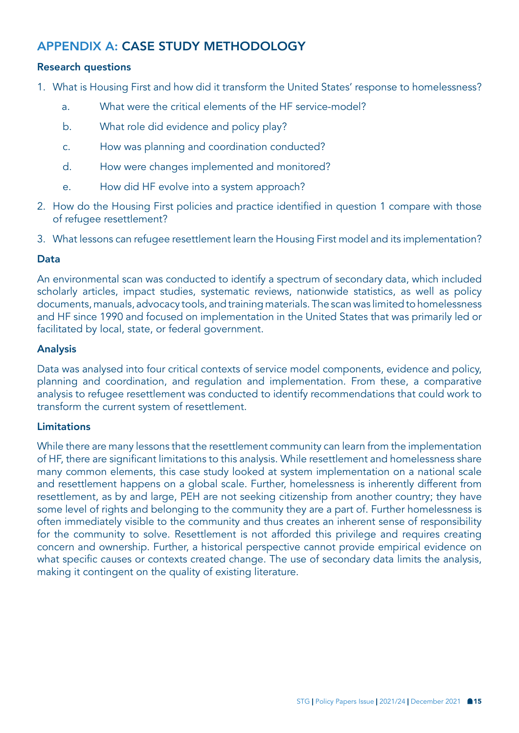## APPENDIX A: CASE STUDY METHODOLOGY

#### Research questions

- 1. What is Housing First and how did it transform the United States' response to homelessness?
	- a. What were the critical elements of the HF service-model?
	- b. What role did evidence and policy play?
	- c. How was planning and coordination conducted?
	- d. How were changes implemented and monitored?
	- e. How did HF evolve into a system approach?
- 2. How do the Housing First policies and practice identified in question 1 compare with those of refugee resettlement?
- 3. What lessons can refugee resettlement learn the Housing First model and its implementation?

#### Data

An environmental scan was conducted to identify a spectrum of secondary data, which included scholarly articles, impact studies, systematic reviews, nationwide statistics, as well as policy documents, manuals, advocacy tools, and training materials. The scan was limited to homelessness and HF since 1990 and focused on implementation in the United States that was primarily led or facilitated by local, state, or federal government.

#### Analysis

Data was analysed into four critical contexts of service model components, evidence and policy, planning and coordination, and regulation and implementation. From these, a comparative analysis to refugee resettlement was conducted to identify recommendations that could work to transform the current system of resettlement.

#### Limitations

While there are many lessons that the resettlement community can learn from the implementation of HF, there are significant limitations to this analysis. While resettlement and homelessness share many common elements, this case study looked at system implementation on a national scale and resettlement happens on a global scale. Further, homelessness is inherently different from resettlement, as by and large, PEH are not seeking citizenship from another country; they have some level of rights and belonging to the community they are a part of. Further homelessness is often immediately visible to the community and thus creates an inherent sense of responsibility for the community to solve. Resettlement is not afforded this privilege and requires creating concern and ownership. Further, a historical perspective cannot provide empirical evidence on what specific causes or contexts created change. The use of secondary data limits the analysis, making it contingent on the quality of existing literature.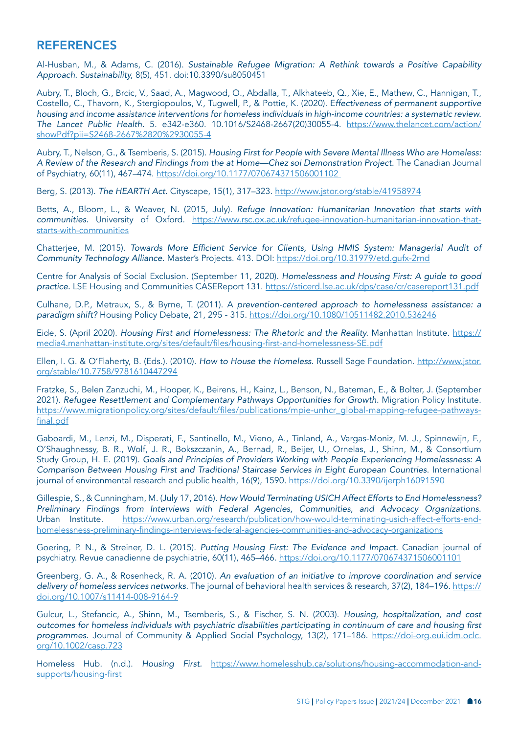#### **REFERENCES**

Al-Husban, M., & Adams, C. (2016). *Sustainable Refugee Migration: A Rethink towards a Positive Capability Approach. Sustainability,* 8(5), 451. doi:10.3390/su8050451

Aubry, T., Bloch, G., Brcic, V., Saad, A., Magwood, O., Abdalla, T., Alkhateeb, Q., Xie, E., Mathew, C., Hannigan, T., Costello, C., Thavorn, K., Stergiopoulos, V., Tugwell, P., & Pottie, K. (2020). E*ffectiveness of permanent supportive housing and income assistance interventions for homeless individuals in high-income countries: a systematic review. The Lancet Public Health.* 5. e342-e360. 10.1016/S2468-2667(20)30055-4. [https://www.thelancet.com/action/](https://www.thelancet.com/action/showPdf?pii=S2468-2667%2820%2930055-4) [showPdf?pii=S2468-2667%2820%2930055-4](https://www.thelancet.com/action/showPdf?pii=S2468-2667%2820%2930055-4)

Aubry, T., Nelson, G., & Tsemberis, S. (2015). *Housing First for People with Severe Mental Illness Who are Homeless: A Review of the Research and Findings from the at Home—Chez soi Demonstration Project.* The Canadian Journal of Psychiatry, 60(11), 467–474. [https://doi.org/10.1177/070674371506001102](https://doi.org/10.1177/070674371506001102 ) 

Berg, S. (2013). *The HEARTH Act.* Cityscape, 15(1), 317–323. <http://www.jstor.org/stable/41958974>

Betts, A., Bloom, L., & Weaver, N. (2015, July). *Refuge Innovation: Humanitarian Innovation that starts with communities.* University of Oxford. [https://www.rsc.ox.ac.uk/refugee-innovation-humanitarian-innovation-that](https://www.rsc.ox.ac.uk/refugee-innovation-humanitarian-innovation-that-starts-with-communities )[starts-with-communities](https://www.rsc.ox.ac.uk/refugee-innovation-humanitarian-innovation-that-starts-with-communities )

Chatterjee, M. (2015). Towards More Efficient Service for Clients, Using HMIS System: Managerial Audit of *Community Technology Alliance.* Master's Projects. 413. DOI: <https://doi.org/10.31979/etd.gufx-2rnd>

Centre for Analysis of Social Exclusion. (September 11, 2020). *Homelessness and Housing First: A guide to good practice.* LSE Housing and Communities CASEReport 131. [https://sticerd.lse.ac.uk/dps/case/cr/casereport131.pdf](https://sticerd.lse.ac.uk/dps/case/cr/casereport131.pdf )

Culhane, D.P., Metraux, S., & Byrne, T. (2011). A *prevention-centered approach to homelessness assistance: a paradigm shift?* Housing Policy Debate, 21, 295 - 315. <https://doi.org/10.1080/10511482.2010.536246>

Eide, S. (April 2020). *Housing First and Homelessness: The Rhetoric and the Reality.* Manhattan Institute. [https://](https://media4.manhattan-institute.org/sites/default/files/housing-first-and-homelessness-SE.pdf) [media4.manhattan-institute.org/sites/default/files/housing-first-and-homelessness-SE.pdf](https://media4.manhattan-institute.org/sites/default/files/housing-first-and-homelessness-SE.pdf)

Ellen, I. G. & O'Flaherty, B. (Eds.). (2010). *How to House the Homeless.* Russell Sage Foundation. [http://www.jstor.](http://www.jstor.org/stable/10.7758/9781610447294) [org/stable/10.7758/9781610447294](http://www.jstor.org/stable/10.7758/9781610447294)

Fratzke, S., Belen Zanzuchi, M., Hooper, K., Beirens, H., Kainz, L., Benson, N., Bateman, E., & Bolter, J. (September 2021). *Refugee Resettlement and Complementary Pathways Opportunities for Growth.* Migration Policy Institute. [https://www.migrationpolicy.org/sites/default/files/publications/mpie-unhcr\\_global-mapping-refugee-pathways](https://www.migrationpolicy.org/sites/default/files/publications/mpie-unhcr_global-mapping-refugee-pathways-final.pdf)[final.pdf](https://www.migrationpolicy.org/sites/default/files/publications/mpie-unhcr_global-mapping-refugee-pathways-final.pdf)

Gaboardi, M., Lenzi, M., Disperati, F., Santinello, M., Vieno, A., Tinland, A., Vargas-Moniz, M. J., Spinnewijn, F., O'Shaughnessy, B. R., Wolf, J. R., Bokszczanin, A., Bernad, R., Beijer, U., Ornelas, J., Shinn, M., & Consortium Study Group, H. E. (2019). *Goals and Principles of Providers Working with People Experiencing Homelessness: A Comparison Between Housing First and Traditional Staircase Services in Eight European Countries*. International journal of environmental research and public health, 16(9), 1590. <https://doi.org/10.3390/ijerph16091590>

Gillespie, S., & Cunningham, M. (July 17, 2016). *How Would Terminating USICH Affect Efforts to End Homelessness? Preliminary Findings from Interviews with Federal Agencies, Communities, and Advocacy Organizations.*  Urban Institute. [https://www.urban.org/research/publication/how-would-terminating-usich-affect-efforts-end](https://www.urban.org/research/publication/how-would-terminating-usich-affect-efforts-end-homelessness-preliminary-findings-interviews-federal-agencies-communities-and-advocacy-organizations )[homelessness-preliminary-findings-interviews-federal-agencies-communities-and-advocacy-organizations](https://www.urban.org/research/publication/how-would-terminating-usich-affect-efforts-end-homelessness-preliminary-findings-interviews-federal-agencies-communities-and-advocacy-organizations )

Goering, P. N., & Streiner, D. L. (2015). *Putting Housing First: The Evidence and Impact.* Canadian journal of psychiatry. Revue canadienne de psychiatrie, 60(11), 465–466.<https://doi.org/10.1177/070674371506001101>

Greenberg, G. A., & Rosenheck, R. A. (2010). *An evaluation of an initiative to improve coordination and service delivery of homeless services networks*. The journal of behavioral health services & research, 37(2), 184–196. [https://](https://doi.org/10.1007/s11414-008-9164-9) [doi.org/10.1007/s11414-008-9164-9](https://doi.org/10.1007/s11414-008-9164-9)

Gulcur, L., Stefancic, A., Shinn, M., Tsemberis, S., & Fischer, S. N. (2003). *Housing, hospitalization, and cost*  outcomes for homeless individuals with psychiatric disabilities participating in continuum of care and housing first *programmes.* Journal of Community & Applied Social Psychology, 13(2), 171–186. [https://doi-org.eui.idm.oclc.](https://doi-org.eui.idm.oclc.org/10.1002/casp.723) [org/10.1002/casp.723](https://doi-org.eui.idm.oclc.org/10.1002/casp.723)

Homeless Hub. (n.d.). *Housing First.* [https://www.homelesshub.ca/solutions/housing-accommodation-and](https://www.homelesshub.ca/solutions/housing-accommodation-and-supports/housing-first)[supports/housing-first](https://www.homelesshub.ca/solutions/housing-accommodation-and-supports/housing-first)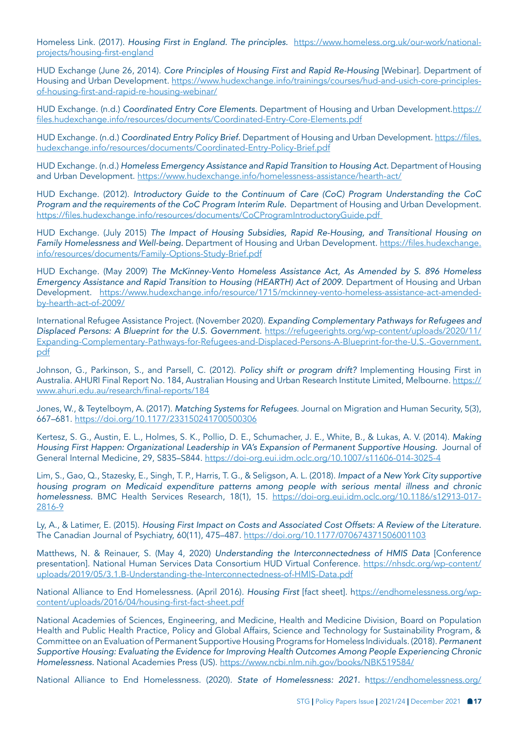Homeless Link. (2017). *Housing First in England. The principles.* [https://www.homeless.org.uk/our-work/national](https://www.homeless.org.uk/our-work/national-projects/housing-first-england)[projects/housing-first-england](https://www.homeless.org.uk/our-work/national-projects/housing-first-england)

HUD Exchange (June 26, 2014). *Core Principles of Housing First and Rapid Re-Housing* [Webinar]. Department of Housing and Urban Development. [https://www.hudexchange.info/trainings/courses/hud-and-usich-core-principles](https://www.hudexchange.info/trainings/courses/hud-and-usich-core-principles-of-housing-first-and-rapid-re-housing-webinar/)[of-housing-first-and-rapid-re-housing-webinar/](https://www.hudexchange.info/trainings/courses/hud-and-usich-core-principles-of-housing-first-and-rapid-re-housing-webinar/)

HUD Exchange. (n.d.) *Coordinated Entry Core Elements*. Department of Housing and Urban Development. [https://](https://files.hudexchange.info/resources/documents/Coordinated-Entry-Core-Elements.pdf) [files.hudexchange.info/resources/documents/Coordinated-Entry-Core-Elements.pdf](https://files.hudexchange.info/resources/documents/Coordinated-Entry-Core-Elements.pdf)

HUD Exchange. (n.d.) *Coordinated Entry Policy Brief.* Department of Housing and Urban Development. [https://files.](https://files.hudexchange.info/resources/documents/Coordinated-Entry-Policy-Brief.pdf) [hudexchange.info/resources/documents/Coordinated-Entry-Policy-Brief.pdf](https://files.hudexchange.info/resources/documents/Coordinated-Entry-Policy-Brief.pdf)

HUD Exchange. (n.d.) *Homeless Emergency Assistance and Rapid Transition to Housing Act.* Department of Housing and Urban Development. <https://www.hudexchange.info/homelessness-assistance/hearth-act/>

HUD Exchange. (2012). *Introductory Guide to the Continuum of Care (CoC) Program Understanding the CoC Program and the requirements of the CoC Program Interim Rule.* Department of Housing and Urban Development. [https://files.hudexchange.info/resources/documents/CoCProgramIntroductoryGuide.pdf](https://files.hudexchange.info/resources/documents/CoCProgramIntroductoryGuide.pdf ) 

HUD Exchange. (July 2015) *The Impact of Housing Subsidies, Rapid Re-Housing, and Transitional Housing on Family Homelessness and Well-being.* Department of Housing and Urban Development. [https://files.hudexchange.](https://files.hudexchange.info/resources/documents/Family-Options-Study-Brief.pdf) [info/resources/documents/Family-Options-Study-Brief.pdf](https://files.hudexchange.info/resources/documents/Family-Options-Study-Brief.pdf)

HUD Exchange. (May 2009) *The McKinney-Vento Homeless Assistance Act, As Amended by S. 896 Homeless Emergency Assistance and Rapid Transition to Housing (HEARTH) Act of 2009*. Department of Housing and Urban Development. [https://www.hudexchange.info/resource/1715/mckinney-vento-homeless-assistance-act-amended](https://www.hudexchange.info/resource/1715/mckinney-vento-homeless-assistance-act-amended-by-hearth-act-of-2009/)[by-hearth-act-of-2009/](https://www.hudexchange.info/resource/1715/mckinney-vento-homeless-assistance-act-amended-by-hearth-act-of-2009/)

International Refugee Assistance Project. (November 2020). *Expanding Complementary Pathways for Refugees and Displaced Persons: A Blueprint for the U.S. Government*. [https://refugeerights.org/wp-content/uploads/2020/11/](https://refugeerights.org/wp-content/uploads/2020/11/Expanding-Complementary-Pathways-for-Refugees-and-Displaced-Persons-A-Blueprint-for-the-U.S.-Government.pdf) [Expanding-Complementary-Pathways-for-Refugees-and-Displaced-Persons-A-Blueprint-for-the-U.S.-Government.](https://refugeerights.org/wp-content/uploads/2020/11/Expanding-Complementary-Pathways-for-Refugees-and-Displaced-Persons-A-Blueprint-for-the-U.S.-Government.pdf) [pdf](https://refugeerights.org/wp-content/uploads/2020/11/Expanding-Complementary-Pathways-for-Refugees-and-Displaced-Persons-A-Blueprint-for-the-U.S.-Government.pdf)

Johnson, G., Parkinson, S., and Parsell, C. (2012). *Policy shift or program drift?* Implementing Housing First in Australia. AHURI Final Report No. 184, Australian Housing and Urban Research Institute Limited, Melbourne. [https://](https://www.ahuri.edu.au/research/final-reports/184) [www.ahuri.edu.au/research/final-reports/184](https://www.ahuri.edu.au/research/final-reports/184)

Jones, W., & Teytelboym, A. (2017). *Matching Systems for Refugees*. Journal on Migration and Human Security, 5(3), 667–681. <https://doi.org/10.1177/233150241700500306>

Kertesz, S. G., Austin, E. L., Holmes, S. K., Pollio, D. E., Schumacher, J. E., White, B., & Lukas, A. V. (2014). *Making Housing First Happen: Organizational Leadership in VA's Expansion of Permanent Supportive Housing.* Journal of General Internal Medicine, 29, S835–S844.<https://doi-org.eui.idm.oclc.org/10.1007/s11606-014-3025-4>

Lim, S., Gao, Q., Stazesky, E., Singh, T. P., Harris, T. G., & Seligson, A. L. (2018). *Impact of a New York City supportive housing program on Medicaid expenditure patterns among people with serious mental illness and chronic homelessness.* BMC Health Services Research, 18(1), 15. [https://doi-org.eui.idm.oclc.org/10.1186/s12913-017-](https://doi-org.eui.idm.oclc.org/10.1186/s12913-017-2816-9) [2816-9](https://doi-org.eui.idm.oclc.org/10.1186/s12913-017-2816-9)

Ly, A., & Latimer, E. (2015). *Housing First Impact on Costs and Associated Cost Offsets: A Review of the Literature.*  The Canadian Journal of Psychiatry, 60(11), 475–487. <https://doi.org/10.1177/070674371506001103>

Matthews, N. & Reinauer, S. (May 4, 2020) *Understanding the Interconnectedness of HMIS Data* [Conference presentation]. National Human Services Data Consortium HUD Virtual Conference. [https://nhsdc.org/wp-content/](https://nhsdc.org/wp-content/uploads/2019/05/3.1.B-Understanding-the-Interconnectedness-of-HMIS-Data.pdf) [uploads/2019/05/3.1.B-Understanding-the-Interconnectedness-of-HMIS-Data.pdf](https://nhsdc.org/wp-content/uploads/2019/05/3.1.B-Understanding-the-Interconnectedness-of-HMIS-Data.pdf)

National Alliance to End Homelessness. (April 2016). *Housing First* [fact sheet]. h[ttps://endhomelessness.org/wp](ttps://endhomelessness.org/wp-content/uploads/2016/04/housing-first-fact-sheet.pdf)[content/uploads/2016/04/housing-first-fact-sheet.pdf](ttps://endhomelessness.org/wp-content/uploads/2016/04/housing-first-fact-sheet.pdf)

National Academies of Sciences, Engineering, and Medicine, Health and Medicine Division, Board on Population Health and Public Health Practice, Policy and Global Affairs, Science and Technology for Sustainability Program, & Committee on an Evaluation of Permanent Supportive Housing Programs for Homeless Individuals. (2018). *Permanent Supportive Housing: Evaluating the Evidence for Improving Health Outcomes Among People Experiencing Chronic Homelessness.* National Academies Press (US).<https://www.ncbi.nlm.nih.gov/books/NBK519584/>

National Alliance to End Homelessness. (2020). *State of Homelessness: 2021.* h[ttps://endhomelessness.org/](ttps://endhomelessness.org/homelessness-in-america/homelessness-statistics/state-of-homelessness-2021/ )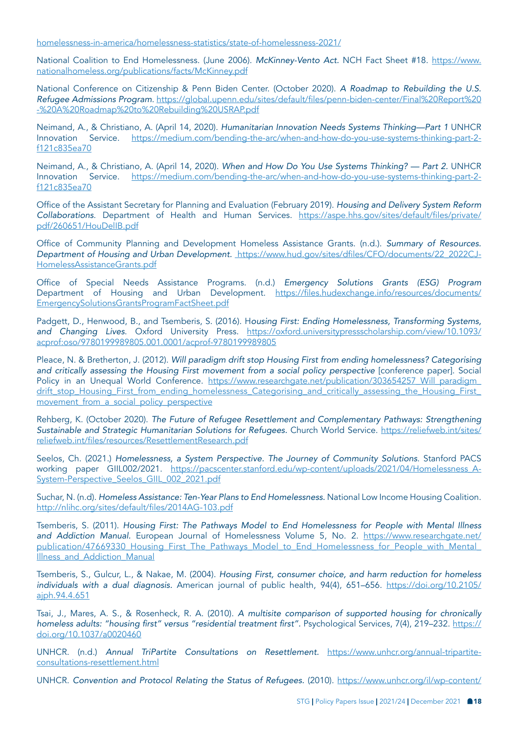[homelessness-in-america/homelessness-statistics/state-of-homelessness-2021/](ttps://endhomelessness.org/homelessness-in-america/homelessness-statistics/state-of-homelessness-2021/ )

National Coalition to End Homelessness. (June 2006). *McKinney-Vento Act.* NCH Fact Sheet #18. [https://www.](https://www.nationalhomeless.org/publications/facts/McKinney.pdf) [nationalhomeless.org/publications/facts/McKinney.pdf](https://www.nationalhomeless.org/publications/facts/McKinney.pdf)

National Conference on Citizenship & Penn Biden Center. (October 2020). *A Roadmap to Rebuilding the U.S. Refugee Admissions Program*. [https://global.upenn.edu/sites/default/files/penn-biden-center/Final%20Report%20](https://global.upenn.edu/sites/default/files/penn-biden-center/Final%20Report%20-%20A%20Roadmap%20to%20Rebuilding%20USRAP.pdf) [-%20A%20Roadmap%20to%20Rebuilding%20USRAP.pdf](https://global.upenn.edu/sites/default/files/penn-biden-center/Final%20Report%20-%20A%20Roadmap%20to%20Rebuilding%20USRAP.pdf)

Neimand, A., & Christiano, A. (April 14, 2020). *Humanitarian Innovation Needs Systems Thinking—Part 1* UNHCR Innovation Service. [https://medium.com/bending-the-arc/when-and-how-do-you-use-systems-thinking-part-2](https://medium.com/bending-the-arc/when-and-how-do-you-use-systems-thinking-part-2-f121c835ea70) [f121c835ea70](https://medium.com/bending-the-arc/when-and-how-do-you-use-systems-thinking-part-2-f121c835ea70)

Neimand, A., & Christiano, A. (April 14, 2020). *When and How Do You Use Systems Thinking? — Part 2.* UNHCR Innovation Service. [https://medium.com/bending-the-arc/when-and-how-do-you-use-systems-thinking-part-2](https://medium.com/bending-the-arc/when-and-how-do-you-use-systems-thinking-part-2-f121c835ea70) [f121c835ea70](https://medium.com/bending-the-arc/when-and-how-do-you-use-systems-thinking-part-2-f121c835ea70)

Office of the Assistant Secretary for Planning and Evaluation (February 2019). *Housing and Delivery System Reform Collaborations*. Department of Health and Human Services. [https://aspe.hhs.gov/sites/default/files/private/](https://aspe.hhs.gov/sites/default/files/private/pdf/260651/HouDelIB.pdf) [pdf/260651/HouDelIB.pdf](https://aspe.hhs.gov/sites/default/files/private/pdf/260651/HouDelIB.pdf)

Office of Community Planning and Development Homeless Assistance Grants. (n.d.). *Summary of Resources. Department of Housing and Urban Development.* [https://www.hud.gov/sites/dfiles/CFO/documents/22\\_2022CJ-]( https://www.hud.gov/sites/dfiles/CFO/documents/22_2022CJ-HomelessAssistanceGrants.pdf)[HomelessAssistanceGrants.pdf]( https://www.hud.gov/sites/dfiles/CFO/documents/22_2022CJ-HomelessAssistanceGrants.pdf)

Office of Special Needs Assistance Programs. (n.d.) *Emergency Solutions Grants (ESG) Program*  Department of Housing and Urban Development. [https://files.hudexchange.info/resources/documents/](https://files.hudexchange.info/resources/documents/EmergencySolutionsGrantsProgramFactSheet.pdf) [EmergencySolutionsGrantsProgramFactSheet.pdf](https://files.hudexchange.info/resources/documents/EmergencySolutionsGrantsProgramFactSheet.pdf)

Padgett, D., Henwood, B., and Tsemberis, S. (2016). H*ousing First: Ending Homelessness, Transforming Systems, and Changing Lives*. Oxford University Press. [https://oxford.universitypressscholarship.com/view/10.1093/](https://oxford.universitypressscholarship.com/view/10.1093/acprof:oso/9780199989805.001.0001/acprof-9780199989805) [acprof:oso/9780199989805.001.0001/acprof-9780199989805](https://oxford.universitypressscholarship.com/view/10.1093/acprof:oso/9780199989805.001.0001/acprof-9780199989805)

Pleace, N. & Bretherton, J. (2012). *Will paradigm drift stop Housing First from ending homelessness? Categorising and critically assessing the Housing First movement from a social policy perspective* [conference paper]. Social Policy in an Unequal World Conference. https://www.researchgate.net/publication/303654257 Will\_paradigm\_ [drift\\_stop\\_Housing\\_First\\_from\\_ending\\_homelessness\\_Categorising\\_and\\_critically\\_assessing\\_the\\_Housing\\_First\\_](https://www.researchgate.net/publication/303654257_Will_paradigm_drift_stop_Housing_First_from_ending_homelessness_Categorising_and_critically_assessing_the_Housing_First_movement_from_a_social_policy_perspective) [movement\\_from\\_a\\_social\\_policy\\_perspective](https://www.researchgate.net/publication/303654257_Will_paradigm_drift_stop_Housing_First_from_ending_homelessness_Categorising_and_critically_assessing_the_Housing_First_movement_from_a_social_policy_perspective)

Rehberg, K. (October 2020). *The Future of Refugee Resettlement and Complementary Pathways: Strengthening Sustainable and Strategic Humanitarian Solutions for Refugees.* Church World Service. [https://reliefweb.int/sites/](https://reliefweb.int/sites/reliefweb.int/files/resources/ResettlementResearch.pdf) [reliefweb.int/files/resources/ResettlementResearch.pdf](https://reliefweb.int/sites/reliefweb.int/files/resources/ResettlementResearch.pdf)

Seelos, Ch. (2021.) *Homelessness, a System Perspective. The Journey of Community Solutions*. Stanford PACS working paper GIIL002/2021. [https://pacscenter.stanford.edu/wp-content/uploads/2021/04/Homelessness\\_A-](https://pacscenter.stanford.edu/wp-content/uploads/2021/04/Homelessness_A-System-Perspective_Seelos_GIIL_002_2021.pdf)[System-Perspective\\_Seelos\\_GIIL\\_002\\_2021.pdf](https://pacscenter.stanford.edu/wp-content/uploads/2021/04/Homelessness_A-System-Perspective_Seelos_GIIL_002_2021.pdf)

Suchar, N. (n.d). *Homeless Assistance: Ten-Year Plans to End Homelessness.* National Low Income Housing Coalition. <http://nlihc.org/sites/default/files/2014AG-103.pdf>

Tsemberis, S. (2011). *Housing First: The Pathways Model to End Homelessness for People with Mental Illness and Addiction Manual.* European Journal of Homelessness Volume 5, No. 2. [https://www.researchgate.net/](https://www.researchgate.net/publication/47669330_Housing_First_The_Pathways_Model_to_End_Homelessness_for_People_with_Mental_Illness_and_Addiction_Manual) [publication/47669330\\_Housing\\_First\\_The\\_Pathways\\_Model\\_to\\_End\\_Homelessness\\_for\\_People\\_with\\_Mental\\_](https://www.researchgate.net/publication/47669330_Housing_First_The_Pathways_Model_to_End_Homelessness_for_People_with_Mental_Illness_and_Addiction_Manual) Illness and Addiction Manual

Tsemberis, S., Gulcur, L., & Nakae, M. (2004). *Housing First, consumer choice, and harm reduction for homeless individuals with a dual diagnosis.* American journal of public health, 94(4), 651–656. [https://doi.org/10.2105/](https://doi.org/10.2105/ajph.94.4.651) [ajph.94.4.651](https://doi.org/10.2105/ajph.94.4.651)

Tsai, J., Mares, A. S., & Rosenheck, R. A. (2010). *A multisite comparison of supported housing for chronically*  homeless adults: "housing first" versus "residential treatment first". Psychological Services, 7(4), 219–232. [https://](https://doi.org/10.1037/a0020460) [doi.org/10.1037/a0020460](https://doi.org/10.1037/a0020460)

UNHCR. (n.d.) *Annual TriPartite Consultations on Resettlement.* [https://www.unhcr.org/annual-tripartite](https://www.unhcr.org/annual-tripartite-consultations-resettlement.html)[consultations-resettlement.html](https://www.unhcr.org/annual-tripartite-consultations-resettlement.html)

UNHCR. *Convention and Protocol Relating the Status of Refugees.* (2010). [https://www.unhcr.org/il/wp-content/](https://www.unhcr.org/il/wp-content/uploads/sites/6/2020/12/1951-Refugee-Convention-and-Protocol.pdf)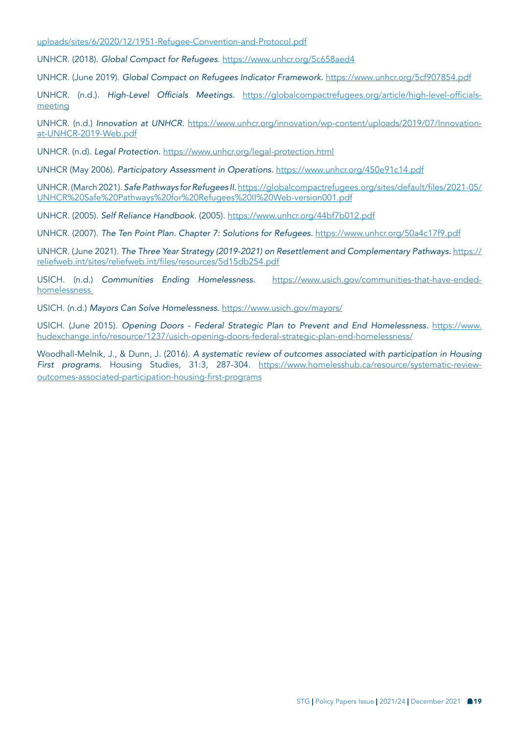[uploads/sites/6/2020/12/1951-Refugee-Convention-and-Protocol.pdf](https://www.unhcr.org/il/wp-content/uploads/sites/6/2020/12/1951-Refugee-Convention-and-Protocol.pdf)

UNHCR. (2018). *Global Compact for Refugees*. <https://www.unhcr.org/5c658aed4>

UNHCR. (June 2019). *Global Compact on Refugees Indicator Framework.* <https://www.unhcr.org/5cf907854.pdf>

UNHCR. (n.d.). High-Level Officials Meetings. [https://globalcompactrefugees.org/article/high-level-officials](https://globalcompactrefugees.org/article/high-level-officials-meeting)[meeting](https://globalcompactrefugees.org/article/high-level-officials-meeting)

UNHCR. (n.d.) *Innovation at UNHCR.* [https://www.unhcr.org/innovation/wp-content/uploads/2019/07/Innovation](https://www.unhcr.org/innovation/wp-content/uploads/2019/07/Innovation-at-UNHCR-2019-Web.pdf )[at-UNHCR-2019-Web.pdf](https://www.unhcr.org/innovation/wp-content/uploads/2019/07/Innovation-at-UNHCR-2019-Web.pdf )

UNHCR. (n.d). *Legal Protection.* <https://www.unhcr.org/legal-protection.html>

UNHCR (May 2006). *Participatory Assessment in Operations.* <https://www.unhcr.org/450e91c14.pdf>

UNHCR. (March 2021). *Safe Pathways for Refugees II.*[https://globalcompactrefugees.org/sites/default/files/2021-05/](https://globalcompactrefugees.org/sites/default/files/2021-05/UNHCR%20Safe%20Pathways%20for%20Refugees%20II%20Web-version001.pdf) [UNHCR%20Safe%20Pathways%20for%20Refugees%20II%20Web-version001.pdf](https://globalcompactrefugees.org/sites/default/files/2021-05/UNHCR%20Safe%20Pathways%20for%20Refugees%20II%20Web-version001.pdf)

UNHCR. (2005). *Self Reliance Handbook*. (2005). <https://www.unhcr.org/44bf7b012.pdf>

UNHCR. (2007). *The Ten Point Plan. Chapter 7: Solutions for Refugees.* <https://www.unhcr.org/50a4c17f9.pdf>

UNHCR. (June 2021). *The Three Year Strategy (2019-2021) on Resettlement and Complementary Pathways.* [https://](https://reliefweb.int/sites/reliefweb.int/files/resources/5d15db254.pdf) [reliefweb.int/sites/reliefweb.int/files/resources/5d15db254.pdf](https://reliefweb.int/sites/reliefweb.int/files/resources/5d15db254.pdf)

USICH. (n.d.) *Communities Ending Homelessness.* [https://www.usich.gov/communities-that-have-ended](https://www.usich.gov/communities-that-have-ended-homelessness  )[homelessness](https://www.usich.gov/communities-that-have-ended-homelessness  ) 

USICH. (n.d.) *Mayors Can Solve Homelessness.* <https://www.usich.gov/mayors/>

USICH. (June 2015). *Opening Doors - Federal Strategic Plan to Prevent and End Homelessness.* [https://www.](https://www.hudexchange.info/resource/1237/usich-opening-doors-federal-strategic-plan-end-homelessness/) [hudexchange.info/resource/1237/usich-opening-doors-federal-strategic-plan-end-homelessness/](https://www.hudexchange.info/resource/1237/usich-opening-doors-federal-strategic-plan-end-homelessness/)

Woodhall-Melnik, J., & Dunn, J. (2016). *A systematic review of outcomes associated with participation in Housing First programs.* Housing Studies, 31:3, 287-304. [https://www.homelesshub.ca/resource/systematic-review](https://www.homelesshub.ca/resource/systematic-review-outcomes-associated-participation-housing-first-programs)[outcomes-associated-participation-housing-first-programs](https://www.homelesshub.ca/resource/systematic-review-outcomes-associated-participation-housing-first-programs)